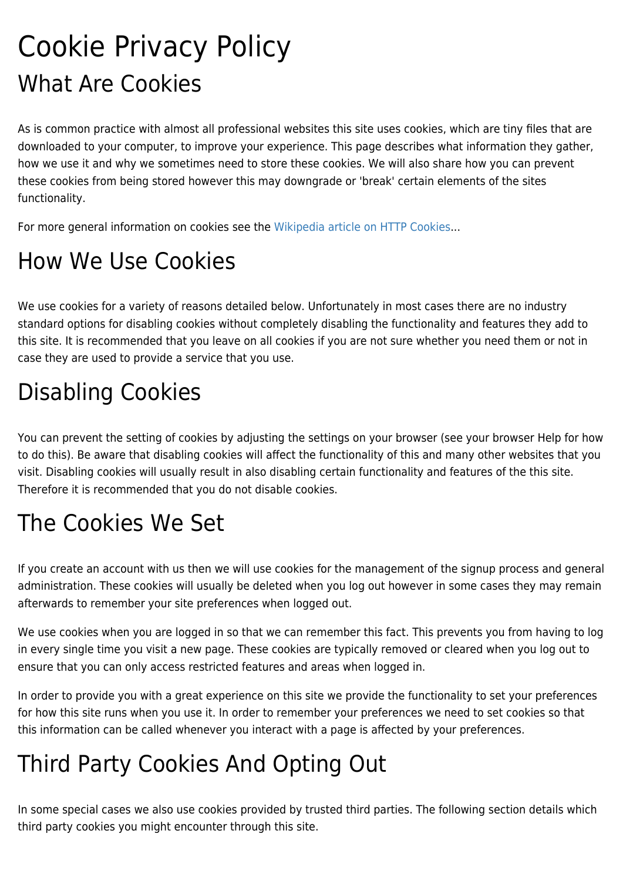# Cookie Privacy Policy What Are Cookies

As is common practice with almost all professional websites this site uses cookies, which are tiny files that are downloaded to your computer, to improve your experience. This page describes what information they gather, how we use it and why we sometimes need to store these cookies. We will also share how you can prevent these cookies from being stored however this may downgrade or 'break' certain elements of the sites functionality.

For more general information on cookies see the [Wikipedia article on HTTP Cookies.](http://en.wikipedia.org/wiki/HTTP_cookie)..

## How We Use Cookies

We use cookies for a variety of reasons detailed below. Unfortunately in most cases there are no industry standard options for disabling cookies without completely disabling the functionality and features they add to this site. It is recommended that you leave on all cookies if you are not sure whether you need them or not in case they are used to provide a service that you use.

### Disabling Cookies

You can prevent the setting of cookies by adjusting the settings on your browser (see your browser Help for how to do this). Be aware that disabling cookies will affect the functionality of this and many other websites that you visit. Disabling cookies will usually result in also disabling certain functionality and features of the this site. Therefore it is recommended that you do not disable cookies.

#### The Cookies We Set

If you create an account with us then we will use cookies for the management of the signup process and general administration. These cookies will usually be deleted when you log out however in some cases they may remain afterwards to remember your site preferences when logged out.

We use cookies when you are logged in so that we can remember this fact. This prevents you from having to log in every single time you visit a new page. These cookies are typically removed or cleared when you log out to ensure that you can only access restricted features and areas when logged in.

In order to provide you with a great experience on this site we provide the functionality to set your preferences for how this site runs when you use it. In order to remember your preferences we need to set cookies so that this information can be called whenever you interact with a page is affected by your preferences.

#### Third Party Cookies And Opting Out

In some special cases we also use cookies provided by trusted third parties. The following section details which third party cookies you might encounter through this site.